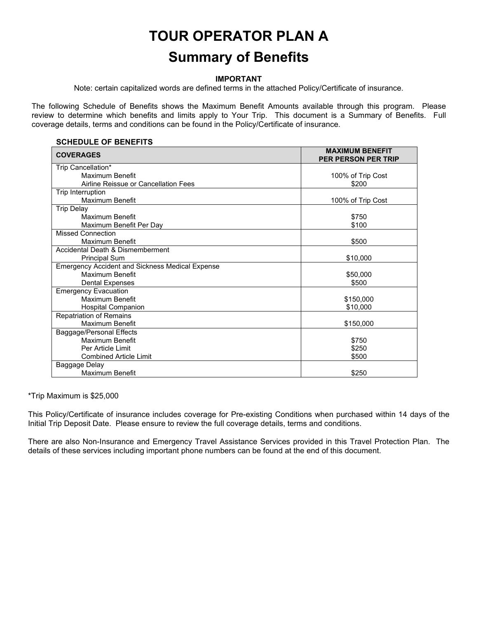# **TOUR OPERATOR PLAN A**

# **Summary of Benefits**

#### **IMPORTANT**

Note: certain capitalized words are defined terms in the attached Policy/Certificate of insurance.

The following Schedule of Benefits shows the Maximum Benefit Amounts available through this program. Please review to determine which benefits and limits apply to Your Trip. This document is a Summary of Benefits. Full coverage details, terms and conditions can be found in the Policy/Certificate of insurance.

| <b>SCHEDULE OF BENEFITS</b>                            |                                                      |  |
|--------------------------------------------------------|------------------------------------------------------|--|
| <b>COVERAGES</b>                                       | <b>MAXIMUM BENEFIT</b><br><b>PER PERSON PER TRIP</b> |  |
| Trip Cancellation*                                     |                                                      |  |
| Maximum Benefit                                        | 100% of Trip Cost                                    |  |
| Airline Reissue or Cancellation Fees                   | \$200                                                |  |
| Trip Interruption                                      |                                                      |  |
| Maximum Benefit                                        | 100% of Trip Cost                                    |  |
| <b>Trip Delay</b>                                      |                                                      |  |
| Maximum Benefit                                        | \$750                                                |  |
| Maximum Benefit Per Day                                | \$100                                                |  |
| Missed Connection                                      |                                                      |  |
| Maximum Benefit                                        | \$500                                                |  |
| Accidental Death & Dismemberment                       |                                                      |  |
| <b>Principal Sum</b>                                   | \$10,000                                             |  |
| <b>Emergency Accident and Sickness Medical Expense</b> |                                                      |  |
| Maximum Benefit                                        | \$50,000                                             |  |
| Dental Expenses                                        | \$500                                                |  |
| <b>Emergency Evacuation</b>                            |                                                      |  |
| Maximum Benefit                                        | \$150,000                                            |  |
| <b>Hospital Companion</b>                              | \$10,000                                             |  |
| <b>Repatriation of Remains</b>                         |                                                      |  |
| <b>Maximum Benefit</b>                                 | \$150,000                                            |  |
| Baggage/Personal Effects                               |                                                      |  |
| Maximum Benefit                                        | \$750                                                |  |
| Per Article Limit                                      | \$250                                                |  |
| <b>Combined Article Limit</b>                          | \$500                                                |  |
| Baggage Delay                                          |                                                      |  |
| <b>Maximum Benefit</b>                                 | \$250                                                |  |

\*Trip Maximum is \$25,000

This Policy/Certificate of insurance includes coverage for Pre-existing Conditions when purchased within 14 days of the Initial Trip Deposit Date. Please ensure to review the full coverage details, terms and conditions.

There are also Non-Insurance and Emergency Travel Assistance Services provided in this Travel Protection Plan. The details of these services including important phone numbers can be found at the end of this document.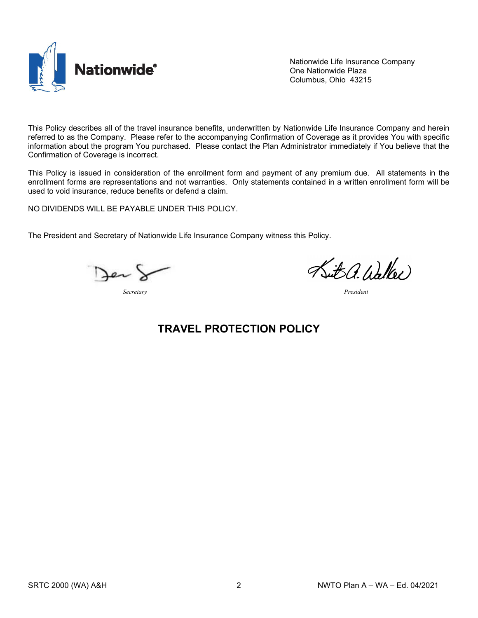

Nationwide Life Insurance Company One Nationwide Plaza Columbus, Ohio 43215

This Policy describes all of the travel insurance benefits, underwritten by Nationwide Life Insurance Company and herein referred to as the Company. Please refer to the accompanying Confirmation of Coverage as it provides You with specific information about the program You purchased. Please contact the Plan Administrator immediately if You believe that the Confirmation of Coverage is incorrect.

This Policy is issued in consideration of the enrollment form and payment of any premium due. All statements in the enrollment forms are representations and not warranties. Only statements contained in a written enrollment form will be used to void insurance, reduce benefits or defend a claim.

NO DIVIDENDS WILL BE PAYABLE UNDER THIS POLICY.

The President and Secretary of Nationwide Life Insurance Company witness this Policy.

*Secretary President*

Suit a. Walker

## **TRAVEL PROTECTION POLICY**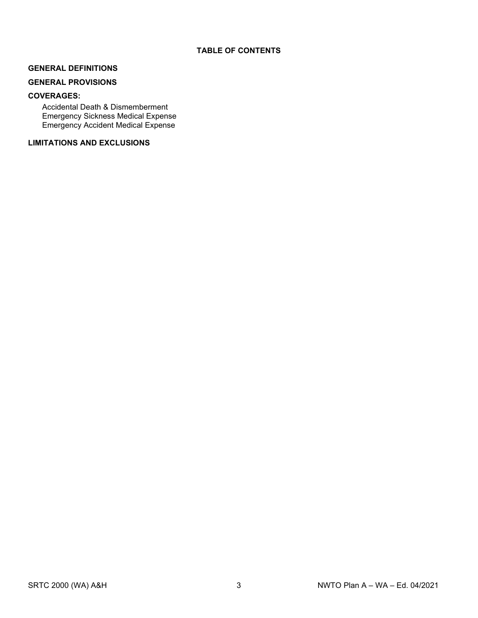#### **GENERAL DEFINITIONS**

#### **GENERAL PROVISIONS**

#### **COVERAGES:**

Accidental Death & Dismemberment Emergency Sickness Medical Expense Emergency Accident Medical Expense

#### **LIMITATIONS AND EXCLUSIONS**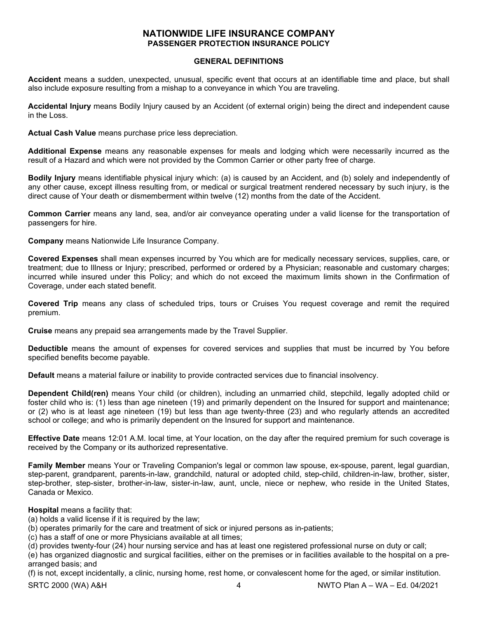#### **NATIONWIDE LIFE INSURANCE COMPANY PASSENGER PROTECTION INSURANCE POLICY**

#### **GENERAL DEFINITIONS**

**Accident** means a sudden, unexpected, unusual, specific event that occurs at an identifiable time and place, but shall also include exposure resulting from a mishap to a conveyance in which You are traveling.

**Accidental Injury** means Bodily Injury caused by an Accident (of external origin) being the direct and independent cause in the Loss.

**Actual Cash Value** means purchase price less depreciation.

**Additional Expense** means any reasonable expenses for meals and lodging which were necessarily incurred as the result of a Hazard and which were not provided by the Common Carrier or other party free of charge.

**Bodily Injury** means identifiable physical injury which: (a) is caused by an Accident, and (b) solely and independently of any other cause, except illness resulting from, or medical or surgical treatment rendered necessary by such injury, is the direct cause of Your death or dismemberment within twelve (12) months from the date of the Accident.

**Common Carrier** means any land, sea, and/or air conveyance operating under a valid license for the transportation of passengers for hire.

**Company** means Nationwide Life Insurance Company.

**Covered Expenses** shall mean expenses incurred by You which are for medically necessary services, supplies, care, or treatment; due to Illness or Injury; prescribed, performed or ordered by a Physician; reasonable and customary charges; incurred while insured under this Policy; and which do not exceed the maximum limits shown in the Confirmation of Coverage, under each stated benefit.

**Covered Trip** means any class of scheduled trips, tours or Cruises You request coverage and remit the required premium.

**Cruise** means any prepaid sea arrangements made by the Travel Supplier.

**Deductible** means the amount of expenses for covered services and supplies that must be incurred by You before specified benefits become payable.

**Default** means a material failure or inability to provide contracted services due to financial insolvency.

**Dependent Child(ren)** means Your child (or children), including an unmarried child, stepchild, legally adopted child or foster child who is: (1) less than age nineteen (19) and primarily dependent on the Insured for support and maintenance; or (2) who is at least age nineteen (19) but less than age twenty-three (23) and who regularly attends an accredited school or college; and who is primarily dependent on the Insured for support and maintenance.

**Effective Date** means 12:01 A.M. local time, at Your location, on the day after the required premium for such coverage is received by the Company or its authorized representative.

**Family Member** means Your or Traveling Companion's legal or common law spouse, ex-spouse, parent, legal guardian, step-parent, grandparent, parents-in-law, grandchild, natural or adopted child, step-child, children-in-law, brother, sister, step-brother, step-sister, brother-in-law, sister-in-law, aunt, uncle, niece or nephew, who reside in the United States, Canada or Mexico.

#### **Hospital** means a facility that:

(a) holds a valid license if it is required by the law;

- (b) operates primarily for the care and treatment of sick or injured persons as in-patients;
- (c) has a staff of one or more Physicians available at all times;

(d) provides twenty-four (24) hour nursing service and has at least one registered professional nurse on duty or call;

(e) has organized diagnostic and surgical facilities, either on the premises or in facilities available to the hospital on a prearranged basis; and

(f) is not, except incidentally, a clinic, nursing home, rest home, or convalescent home for the aged, or similar institution.

SRTC 2000 (WA) A&H4 NWTO Plan A – WA – Ed. 04/2021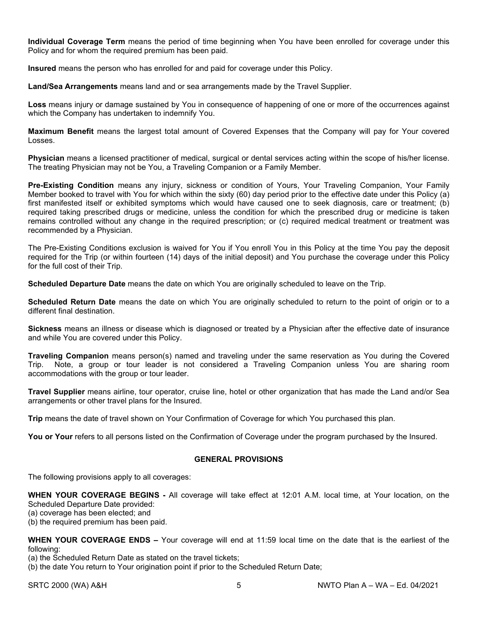**Individual Coverage Term** means the period of time beginning when You have been enrolled for coverage under this Policy and for whom the required premium has been paid.

**Insured** means the person who has enrolled for and paid for coverage under this Policy.

**Land/Sea Arrangements** means land and or sea arrangements made by the Travel Supplier.

**Loss** means injury or damage sustained by You in consequence of happening of one or more of the occurrences against which the Company has undertaken to indemnify You.

**Maximum Benefit** means the largest total amount of Covered Expenses that the Company will pay for Your covered Losses.

**Physician** means a licensed practitioner of medical, surgical or dental services acting within the scope of his/her license. The treating Physician may not be You, a Traveling Companion or a Family Member.

**Pre-Existing Condition** means any injury, sickness or condition of Yours, Your Traveling Companion, Your Family Member booked to travel with You for which within the sixty (60) day period prior to the effective date under this Policy (a) first manifested itself or exhibited symptoms which would have caused one to seek diagnosis, care or treatment; (b) required taking prescribed drugs or medicine, unless the condition for which the prescribed drug or medicine is taken remains controlled without any change in the required prescription; or (c) required medical treatment or treatment was recommended by a Physician.

The Pre-Existing Conditions exclusion is waived for You if You enroll You in this Policy at the time You pay the deposit required for the Trip (or within fourteen (14) days of the initial deposit) and You purchase the coverage under this Policy for the full cost of their Trip.

**Scheduled Departure Date** means the date on which You are originally scheduled to leave on the Trip.

**Scheduled Return Date** means the date on which You are originally scheduled to return to the point of origin or to a different final destination.

**Sickness** means an illness or disease which is diagnosed or treated by a Physician after the effective date of insurance and while You are covered under this Policy.

**Traveling Companion** means person(s) named and traveling under the same reservation as You during the Covered Trip. Note, a group or tour leader is not considered a Traveling Companion unless You are sharing room accommodations with the group or tour leader.

**Travel Supplier** means airline, tour operator, cruise line, hotel or other organization that has made the Land and/or Sea arrangements or other travel plans for the Insured.

**Trip** means the date of travel shown on Your Confirmation of Coverage for which You purchased this plan.

You or Your refers to all persons listed on the Confirmation of Coverage under the program purchased by the Insured.

#### **GENERAL PROVISIONS**

The following provisions apply to all coverages:

**WHEN YOUR COVERAGE BEGINS -** All coverage will take effect at 12:01 A.M. local time, at Your location, on the Scheduled Departure Date provided:

(a) coverage has been elected; and

(b) the required premium has been paid.

**WHEN YOUR COVERAGE ENDS –** Your coverage will end at 11:59 local time on the date that is the earliest of the following:

(a) the Scheduled Return Date as stated on the travel tickets;

(b) the date You return to Your origination point if prior to the Scheduled Return Date;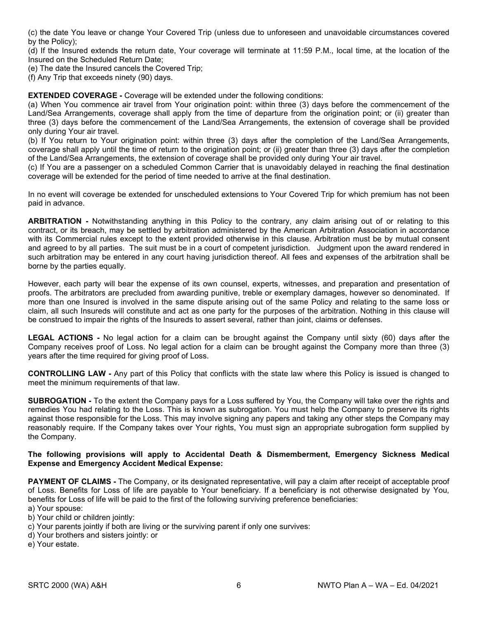(c) the date You leave or change Your Covered Trip (unless due to unforeseen and unavoidable circumstances covered by the Policy);

(d) If the Insured extends the return date, Your coverage will terminate at 11:59 P.M., local time, at the location of the Insured on the Scheduled Return Date;

(e) The date the Insured cancels the Covered Trip;

(f) Any Trip that exceeds ninety (90) days.

**EXTENDED COVERAGE -** Coverage will be extended under the following conditions:

(a) When You commence air travel from Your origination point: within three (3) days before the commencement of the Land/Sea Arrangements, coverage shall apply from the time of departure from the origination point; or (ii) greater than three (3) days before the commencement of the Land/Sea Arrangements, the extension of coverage shall be provided only during Your air travel.

(b) If You return to Your origination point: within three (3) days after the completion of the Land/Sea Arrangements, coverage shall apply until the time of return to the origination point; or (ii) greater than three (3) days after the completion of the Land/Sea Arrangements, the extension of coverage shall be provided only during Your air travel.

(c) If You are a passenger on a scheduled Common Carrier that is unavoidably delayed in reaching the final destination coverage will be extended for the period of time needed to arrive at the final destination.

In no event will coverage be extended for unscheduled extensions to Your Covered Trip for which premium has not been paid in advance.

**ARBITRATION -** Notwithstanding anything in this Policy to the contrary, any claim arising out of or relating to this contract, or its breach, may be settled by arbitration administered by the American Arbitration Association in accordance with its Commercial rules except to the extent provided otherwise in this clause. Arbitration must be by mutual consent and agreed to by all parties. The suit must be in a court of competent jurisdiction. Judgment upon the award rendered in such arbitration may be entered in any court having jurisdiction thereof. All fees and expenses of the arbitration shall be borne by the parties equally.

However, each party will bear the expense of its own counsel, experts, witnesses, and preparation and presentation of proofs. The arbitrators are precluded from awarding punitive, treble or exemplary damages, however so denominated. If more than one Insured is involved in the same dispute arising out of the same Policy and relating to the same loss or claim, all such Insureds will constitute and act as one party for the purposes of the arbitration. Nothing in this clause will be construed to impair the rights of the Insureds to assert several, rather than joint, claims or defenses.

**LEGAL ACTIONS -** No legal action for a claim can be brought against the Company until sixty (60) days after the Company receives proof of Loss. No legal action for a claim can be brought against the Company more than three (3) years after the time required for giving proof of Loss.

**CONTROLLING LAW -** Any part of this Policy that conflicts with the state law where this Policy is issued is changed to meet the minimum requirements of that law.

**SUBROGATION -** To the extent the Company pays for a Loss suffered by You, the Company will take over the rights and remedies You had relating to the Loss. This is known as subrogation. You must help the Company to preserve its rights against those responsible for the Loss. This may involve signing any papers and taking any other steps the Company may reasonably require. If the Company takes over Your rights, You must sign an appropriate subrogation form supplied by the Company.

#### **The following provisions will apply to Accidental Death & Dismemberment, Emergency Sickness Medical Expense and Emergency Accident Medical Expense:**

**PAYMENT OF CLAIMS** - The Company, or its designated representative, will pay a claim after receipt of acceptable proof of Loss. Benefits for Loss of life are payable to Your beneficiary. If a beneficiary is not otherwise designated by You, benefits for Loss of life will be paid to the first of the following surviving preference beneficiaries:

- a) Your spouse:
- b) Your child or children jointly:
- c) Your parents jointly if both are living or the surviving parent if only one survives:
- d) Your brothers and sisters jointly: or
- e) Your estate.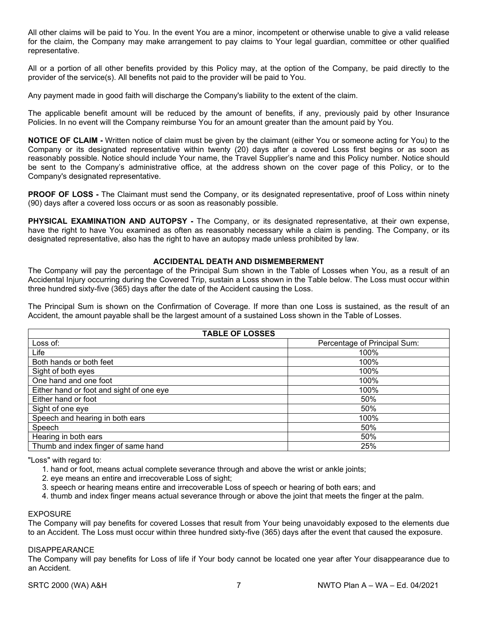All other claims will be paid to You. In the event You are a minor, incompetent or otherwise unable to give a valid release for the claim, the Company may make arrangement to pay claims to Your legal guardian, committee or other qualified representative.

All or a portion of all other benefits provided by this Policy may, at the option of the Company, be paid directly to the provider of the service(s). All benefits not paid to the provider will be paid to You.

Any payment made in good faith will discharge the Company's liability to the extent of the claim.

The applicable benefit amount will be reduced by the amount of benefits, if any, previously paid by other Insurance Policies. In no event will the Company reimburse You for an amount greater than the amount paid by You.

**NOTICE OF CLAIM -** Written notice of claim must be given by the claimant (either You or someone acting for You) to the Company or its designated representative within twenty (20) days after a covered Loss first begins or as soon as reasonably possible. Notice should include Your name, the Travel Supplier's name and this Policy number. Notice should be sent to the Company's administrative office, at the address shown on the cover page of this Policy, or to the Company's designated representative.

**PROOF OF LOSS -** The Claimant must send the Company, or its designated representative, proof of Loss within ninety (90) days after a covered loss occurs or as soon as reasonably possible.

**PHYSICAL EXAMINATION AND AUTOPSY -** The Company, or its designated representative, at their own expense, have the right to have You examined as often as reasonably necessary while a claim is pending. The Company, or its designated representative, also has the right to have an autopsy made unless prohibited by law.

#### **ACCIDENTAL DEATH AND DISMEMBERMENT**

The Company will pay the percentage of the Principal Sum shown in the Table of Losses when You, as a result of an Accidental Injury occurring during the Covered Trip, sustain a Loss shown in the Table below. The Loss must occur within three hundred sixty-five (365) days after the date of the Accident causing the Loss.

The Principal Sum is shown on the Confirmation of Coverage. If more than one Loss is sustained, as the result of an Accident, the amount payable shall be the largest amount of a sustained Loss shown in the Table of Losses.

| <b>TABLE OF LOSSES</b>                   |                              |  |
|------------------------------------------|------------------------------|--|
| Loss of:                                 | Percentage of Principal Sum: |  |
| Life                                     | 100%                         |  |
| Both hands or both feet                  | 100%                         |  |
| Sight of both eyes                       | 100%                         |  |
| One hand and one foot                    | 100%                         |  |
| Either hand or foot and sight of one eye | 100%                         |  |
| Either hand or foot                      | 50%                          |  |
| Sight of one eye                         | 50%                          |  |
| Speech and hearing in both ears          | 100%                         |  |
| Speech                                   | 50%                          |  |
| Hearing in both ears                     | 50%                          |  |
| Thumb and index finger of same hand      | 25%                          |  |

"Loss" with regard to:

- 1. hand or foot, means actual complete severance through and above the wrist or ankle joints;
- 2. eye means an entire and irrecoverable Loss of sight;
- 3. speech or hearing means entire and irrecoverable Loss of speech or hearing of both ears; and
- 4. thumb and index finger means actual severance through or above the joint that meets the finger at the palm.

#### EXPOSURE

The Company will pay benefits for covered Losses that result from Your being unavoidably exposed to the elements due to an Accident. The Loss must occur within three hundred sixty-five (365) days after the event that caused the exposure.

#### DISAPPEARANCE

The Company will pay benefits for Loss of life if Your body cannot be located one year after Your disappearance due to an Accident.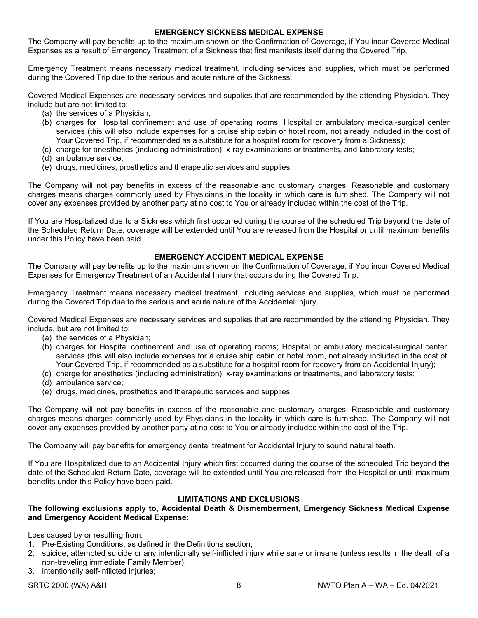#### **EMERGENCY SICKNESS MEDICAL EXPENSE**

The Company will pay benefits up to the maximum shown on the Confirmation of Coverage, if You incur Covered Medical Expenses as a result of Emergency Treatment of a Sickness that first manifests itself during the Covered Trip.

Emergency Treatment means necessary medical treatment, including services and supplies, which must be performed during the Covered Trip due to the serious and acute nature of the Sickness.

Covered Medical Expenses are necessary services and supplies that are recommended by the attending Physician. They include but are not limited to:

- (a) the services of a Physician;
- (b) charges for Hospital confinement and use of operating rooms; Hospital or ambulatory medical-surgical center services (this will also include expenses for a cruise ship cabin or hotel room, not already included in the cost of Your Covered Trip, if recommended as a substitute for a hospital room for recovery from a Sickness);
- (c) charge for anesthetics (including administration); x-ray examinations or treatments, and laboratory tests;
- (d) ambulance service;
- (e) drugs, medicines, prosthetics and therapeutic services and supplies.

The Company will not pay benefits in excess of the reasonable and customary charges. Reasonable and customary charges means charges commonly used by Physicians in the locality in which care is furnished. The Company will not cover any expenses provided by another party at no cost to You or already included within the cost of the Trip.

If You are Hospitalized due to a Sickness which first occurred during the course of the scheduled Trip beyond the date of the Scheduled Return Date, coverage will be extended until You are released from the Hospital or until maximum benefits under this Policy have been paid.

#### **EMERGENCY ACCIDENT MEDICAL EXPENSE**

The Company will pay benefits up to the maximum shown on the Confirmation of Coverage, if You incur Covered Medical Expenses for Emergency Treatment of an Accidental Injury that occurs during the Covered Trip.

Emergency Treatment means necessary medical treatment, including services and supplies, which must be performed during the Covered Trip due to the serious and acute nature of the Accidental Injury.

Covered Medical Expenses are necessary services and supplies that are recommended by the attending Physician. They include, but are not limited to:

- (a) the services of a Physician;
- (b) charges for Hospital confinement and use of operating rooms; Hospital or ambulatory medical-surgical center services (this will also include expenses for a cruise ship cabin or hotel room, not already included in the cost of Your Covered Trip, if recommended as a substitute for a hospital room for recovery from an Accidental Injury);
- (c) charge for anesthetics (including administration); x-ray examinations or treatments, and laboratory tests;
- (d) ambulance service;
- (e) drugs, medicines, prosthetics and therapeutic services and supplies.

The Company will not pay benefits in excess of the reasonable and customary charges. Reasonable and customary charges means charges commonly used by Physicians in the locality in which care is furnished. The Company will not cover any expenses provided by another party at no cost to You or already included within the cost of the Trip.

The Company will pay benefits for emergency dental treatment for Accidental Injury to sound natural teeth.

If You are Hospitalized due to an Accidental Injury which first occurred during the course of the scheduled Trip beyond the date of the Scheduled Return Date, coverage will be extended until You are released from the Hospital or until maximum benefits under this Policy have been paid.

#### **LIMITATIONS AND EXCLUSIONS**

#### **The following exclusions apply to, Accidental Death & Dismemberment, Emergency Sickness Medical Expense and Emergency Accident Medical Expense:**

Loss caused by or resulting from:

- 1. Pre-Existing Conditions, as defined in the Definitions section;
- 2. suicide, attempted suicide or any intentionally self-inflicted injury while sane or insane (unless results in the death of a non-traveling immediate Family Member);
- 3. intentionally self-inflicted injuries;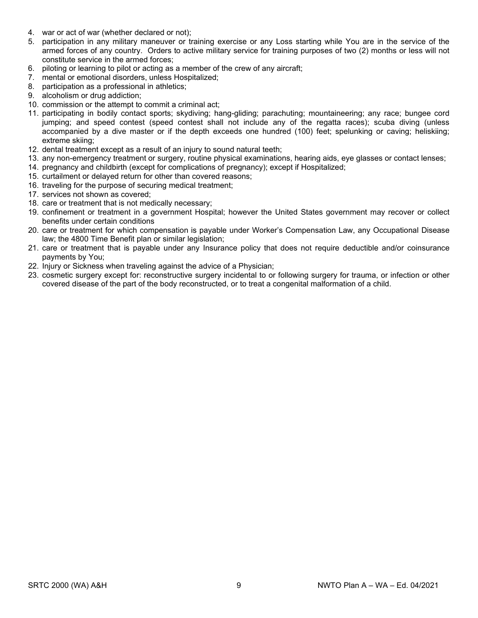- 4. war or act of war (whether declared or not);
- 5. participation in any military maneuver or training exercise or any Loss starting while You are in the service of the armed forces of any country. Orders to active military service for training purposes of two (2) months or less will not constitute service in the armed forces;
- 6. piloting or learning to pilot or acting as a member of the crew of any aircraft;
- 7. mental or emotional disorders, unless Hospitalized;
- 8. participation as a professional in athletics;
- 9. alcoholism or drug addiction;
- 10. commission or the attempt to commit a criminal act;
- 11. participating in bodily contact sports; skydiving; hang-gliding; parachuting; mountaineering; any race; bungee cord jumping; and speed contest (speed contest shall not include any of the regatta races); scuba diving (unless accompanied by a dive master or if the depth exceeds one hundred (100) feet; spelunking or caving; heliskiing; extreme skiing;
- 12. dental treatment except as a result of an injury to sound natural teeth;
- 13. any non-emergency treatment or surgery, routine physical examinations, hearing aids, eye glasses or contact lenses;
- 14. pregnancy and childbirth (except for complications of pregnancy); except if Hospitalized;
- 15. curtailment or delayed return for other than covered reasons;
- 16. traveling for the purpose of securing medical treatment;
- 17. services not shown as covered;
- 18. care or treatment that is not medically necessary;
- 19. confinement or treatment in a government Hospital; however the United States government may recover or collect benefits under certain conditions
- 20. care or treatment for which compensation is payable under Worker's Compensation Law, any Occupational Disease law; the 4800 Time Benefit plan or similar legislation;
- 21. care or treatment that is payable under any Insurance policy that does not require deductible and/or coinsurance payments by You;
- 22. Injury or Sickness when traveling against the advice of a Physician;
- 23. cosmetic surgery except for: reconstructive surgery incidental to or following surgery for trauma, or infection or other covered disease of the part of the body reconstructed, or to treat a congenital malformation of a child.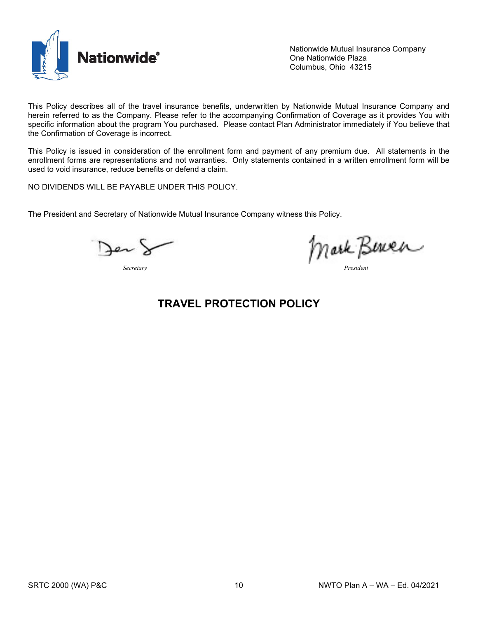

Nationwide Mutual Insurance Company One Nationwide Plaza Columbus, Ohio 43215

This Policy describes all of the travel insurance benefits, underwritten by Nationwide Mutual Insurance Company and herein referred to as the Company. Please refer to the accompanying Confirmation of Coverage as it provides You with specific information about the program You purchased. Please contact Plan Administrator immediately if You believe that the Confirmation of Coverage is incorrect.

This Policy is issued in consideration of the enrollment form and payment of any premium due. All statements in the enrollment forms are representations and not warranties. Only statements contained in a written enrollment form will be used to void insurance, reduce benefits or defend a claim.

NO DIVIDENDS WILL BE PAYABLE UNDER THIS POLICY.

The President and Secretary of Nationwide Mutual Insurance Company witness this Policy.

Jer

*Secretary President*

## **TRAVEL PROTECTION POLICY**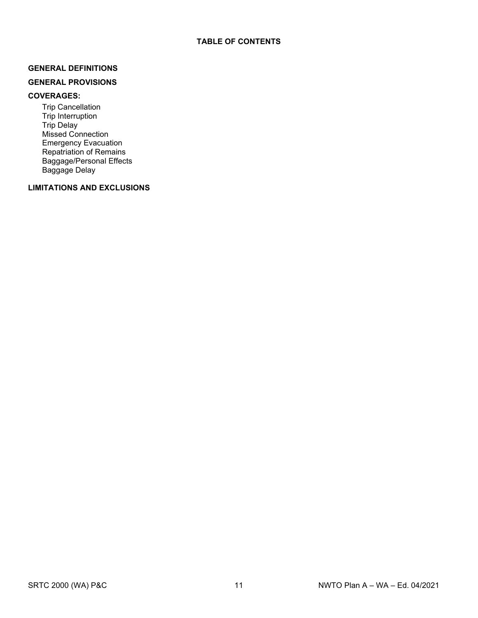#### **GENERAL DEFINITIONS**

#### **GENERAL PROVISIONS**

#### **COVERAGES:**

Trip Cancellation Trip Interruption Trip Delay Missed Connection Emergency Evacuation Repatriation of Remains Baggage/Personal Effects Baggage Delay

#### **LIMITATIONS AND EXCLUSIONS**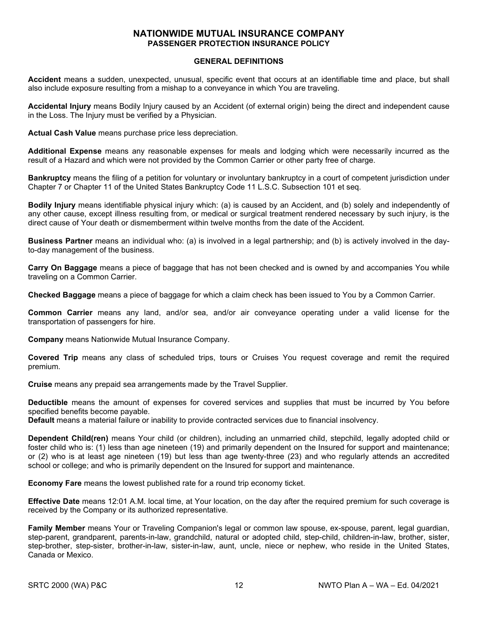#### **NATIONWIDE MUTUAL INSURANCE COMPANY PASSENGER PROTECTION INSURANCE POLICY**

#### **GENERAL DEFINITIONS**

**Accident** means a sudden, unexpected, unusual, specific event that occurs at an identifiable time and place, but shall also include exposure resulting from a mishap to a conveyance in which You are traveling.

**Accidental Injury** means Bodily Injury caused by an Accident (of external origin) being the direct and independent cause in the Loss. The Injury must be verified by a Physician.

**Actual Cash Value** means purchase price less depreciation.

**Additional Expense** means any reasonable expenses for meals and lodging which were necessarily incurred as the result of a Hazard and which were not provided by the Common Carrier or other party free of charge.

**Bankruptcy** means the filing of a petition for voluntary or involuntary bankruptcy in a court of competent jurisdiction under Chapter 7 or Chapter 11 of the United States Bankruptcy Code 11 L.S.C. Subsection 101 et seq.

**Bodily Injury** means identifiable physical injury which: (a) is caused by an Accident, and (b) solely and independently of any other cause, except illness resulting from, or medical or surgical treatment rendered necessary by such injury, is the direct cause of Your death or dismemberment within twelve months from the date of the Accident.

**Business Partner** means an individual who: (a) is involved in a legal partnership; and (b) is actively involved in the dayto-day management of the business.

**Carry On Baggage** means a piece of baggage that has not been checked and is owned by and accompanies You while traveling on a Common Carrier.

**Checked Baggage** means a piece of baggage for which a claim check has been issued to You by a Common Carrier.

**Common Carrier** means any land, and/or sea, and/or air conveyance operating under a valid license for the transportation of passengers for hire.

**Company** means Nationwide Mutual Insurance Company.

**Covered Trip** means any class of scheduled trips, tours or Cruises You request coverage and remit the required premium.

**Cruise** means any prepaid sea arrangements made by the Travel Supplier.

**Deductible** means the amount of expenses for covered services and supplies that must be incurred by You before specified benefits become payable.

**Default** means a material failure or inability to provide contracted services due to financial insolvency.

**Dependent Child(ren)** means Your child (or children), including an unmarried child, stepchild, legally adopted child or foster child who is: (1) less than age nineteen (19) and primarily dependent on the Insured for support and maintenance; or (2) who is at least age nineteen (19) but less than age twenty-three (23) and who regularly attends an accredited school or college; and who is primarily dependent on the Insured for support and maintenance.

**Economy Fare** means the lowest published rate for a round trip economy ticket.

**Effective Date** means 12:01 A.M. local time, at Your location, on the day after the required premium for such coverage is received by the Company or its authorized representative.

**Family Member** means Your or Traveling Companion's legal or common law spouse, ex-spouse, parent, legal guardian, step-parent, grandparent, parents-in-law, grandchild, natural or adopted child, step-child, children-in-law, brother, sister, step-brother, step-sister, brother-in-law, sister-in-law, aunt, uncle, niece or nephew, who reside in the United States, Canada or Mexico.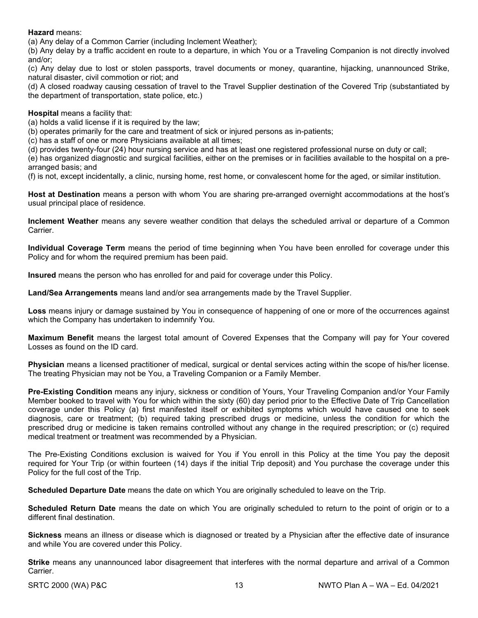#### **Hazard** means:

(a) Any delay of a Common Carrier (including Inclement Weather);

(b) Any delay by a traffic accident en route to a departure, in which You or a Traveling Companion is not directly involved and/or;

(c) Any delay due to lost or stolen passports, travel documents or money, quarantine, hijacking, unannounced Strike, natural disaster, civil commotion or riot; and

(d) A closed roadway causing cessation of travel to the Travel Supplier destination of the Covered Trip (substantiated by the department of transportation, state police, etc.)

#### **Hospital** means a facility that:

(a) holds a valid license if it is required by the law;

(b) operates primarily for the care and treatment of sick or injured persons as in-patients;

(c) has a staff of one or more Physicians available at all times;

(d) provides twenty-four (24) hour nursing service and has at least one registered professional nurse on duty or call;

(e) has organized diagnostic and surgical facilities, either on the premises or in facilities available to the hospital on a prearranged basis; and

(f) is not, except incidentally, a clinic, nursing home, rest home, or convalescent home for the aged, or similar institution.

**Host at Destination** means a person with whom You are sharing pre-arranged overnight accommodations at the host's usual principal place of residence.

**Inclement Weather** means any severe weather condition that delays the scheduled arrival or departure of a Common Carrier.

**Individual Coverage Term** means the period of time beginning when You have been enrolled for coverage under this Policy and for whom the required premium has been paid.

**Insured** means the person who has enrolled for and paid for coverage under this Policy.

**Land/Sea Arrangements** means land and/or sea arrangements made by the Travel Supplier.

**Loss** means injury or damage sustained by You in consequence of happening of one or more of the occurrences against which the Company has undertaken to indemnify You.

**Maximum Benefit** means the largest total amount of Covered Expenses that the Company will pay for Your covered Losses as found on the ID card.

**Physician** means a licensed practitioner of medical, surgical or dental services acting within the scope of his/her license. The treating Physician may not be You, a Traveling Companion or a Family Member.

**Pre-Existing Condition** means any injury, sickness or condition of Yours, Your Traveling Companion and/or Your Family Member booked to travel with You for which within the sixty (60) day period prior to the Effective Date of Trip Cancellation coverage under this Policy (a) first manifested itself or exhibited symptoms which would have caused one to seek diagnosis, care or treatment; (b) required taking prescribed drugs or medicine, unless the condition for which the prescribed drug or medicine is taken remains controlled without any change in the required prescription; or (c) required medical treatment or treatment was recommended by a Physician.

The Pre-Existing Conditions exclusion is waived for You if You enroll in this Policy at the time You pay the deposit required for Your Trip (or within fourteen (14) days if the initial Trip deposit) and You purchase the coverage under this Policy for the full cost of the Trip.

**Scheduled Departure Date** means the date on which You are originally scheduled to leave on the Trip.

**Scheduled Return Date** means the date on which You are originally scheduled to return to the point of origin or to a different final destination.

**Sickness** means an illness or disease which is diagnosed or treated by a Physician after the effective date of insurance and while You are covered under this Policy.

**Strike** means any unannounced labor disagreement that interferes with the normal departure and arrival of a Common Carrier.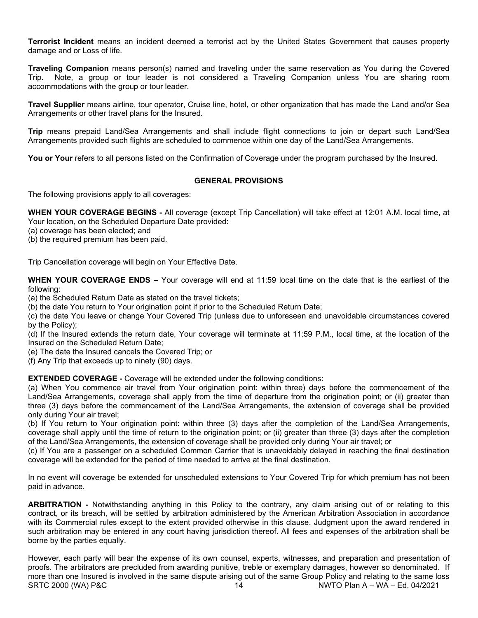**Terrorist Incident** means an incident deemed a terrorist act by the United States Government that causes property damage and or Loss of life.

**Traveling Companion** means person(s) named and traveling under the same reservation as You during the Covered Trip. Note, a group or tour leader is not considered a Traveling Companion unless You are sharing room accommodations with the group or tour leader.

**Travel Supplier** means airline, tour operator, Cruise line, hotel, or other organization that has made the Land and/or Sea Arrangements or other travel plans for the Insured.

**Trip** means prepaid Land/Sea Arrangements and shall include flight connections to join or depart such Land/Sea Arrangements provided such flights are scheduled to commence within one day of the Land/Sea Arrangements.

You or Your refers to all persons listed on the Confirmation of Coverage under the program purchased by the Insured.

#### **GENERAL PROVISIONS**

The following provisions apply to all coverages:

**WHEN YOUR COVERAGE BEGINS -** All coverage (except Trip Cancellation) will take effect at 12:01 A.M. local time, at Your location, on the Scheduled Departure Date provided:

- (a) coverage has been elected; and
- (b) the required premium has been paid.

Trip Cancellation coverage will begin on Your Effective Date.

**WHEN YOUR COVERAGE ENDS –** Your coverage will end at 11:59 local time on the date that is the earliest of the following:

(a) the Scheduled Return Date as stated on the travel tickets;

(b) the date You return to Your origination point if prior to the Scheduled Return Date;

(c) the date You leave or change Your Covered Trip (unless due to unforeseen and unavoidable circumstances covered by the Policy);

(d) If the Insured extends the return date, Your coverage will terminate at 11:59 P.M., local time, at the location of the Insured on the Scheduled Return Date;

(e) The date the Insured cancels the Covered Trip; or

(f) Any Trip that exceeds up to ninety (90) days.

**EXTENDED COVERAGE -** Coverage will be extended under the following conditions:

(a) When You commence air travel from Your origination point: within three) days before the commencement of the Land/Sea Arrangements, coverage shall apply from the time of departure from the origination point; or (ii) greater than three (3) days before the commencement of the Land/Sea Arrangements, the extension of coverage shall be provided only during Your air travel;

(b) If You return to Your origination point: within three (3) days after the completion of the Land/Sea Arrangements, coverage shall apply until the time of return to the origination point; or (ii) greater than three (3) days after the completion of the Land/Sea Arrangements, the extension of coverage shall be provided only during Your air travel; or

(c) If You are a passenger on a scheduled Common Carrier that is unavoidably delayed in reaching the final destination coverage will be extended for the period of time needed to arrive at the final destination.

In no event will coverage be extended for unscheduled extensions to Your Covered Trip for which premium has not been paid in advance.

**ARBITRATION -** Notwithstanding anything in this Policy to the contrary, any claim arising out of or relating to this contract, or its breach, will be settled by arbitration administered by the American Arbitration Association in accordance with its Commercial rules except to the extent provided otherwise in this clause. Judgment upon the award rendered in such arbitration may be entered in any court having jurisdiction thereof. All fees and expenses of the arbitration shall be borne by the parties equally.

SRTC 2000 (WA) P&C 14 NWTO Plan A – WA – Ed. 04/2021 However, each party will bear the expense of its own counsel, experts, witnesses, and preparation and presentation of proofs. The arbitrators are precluded from awarding punitive, treble or exemplary damages, however so denominated. If more than one Insured is involved in the same dispute arising out of the same Group Policy and relating to the same loss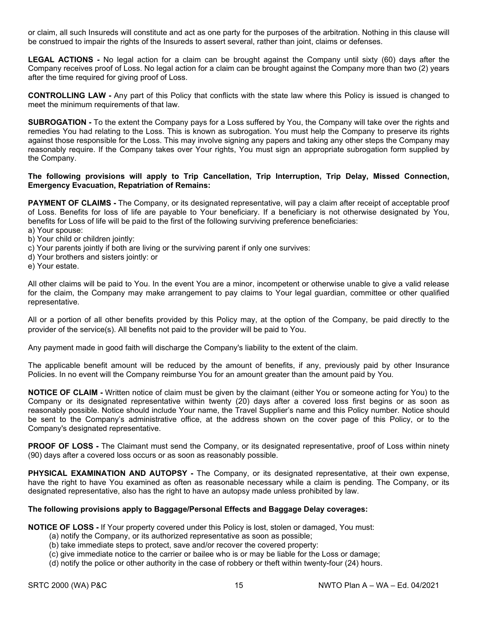or claim, all such Insureds will constitute and act as one party for the purposes of the arbitration. Nothing in this clause will be construed to impair the rights of the Insureds to assert several, rather than joint, claims or defenses.

**LEGAL ACTIONS -** No legal action for a claim can be brought against the Company until sixty (60) days after the Company receives proof of Loss. No legal action for a claim can be brought against the Company more than two (2) years after the time required for giving proof of Loss.

**CONTROLLING LAW -** Any part of this Policy that conflicts with the state law where this Policy is issued is changed to meet the minimum requirements of that law.

**SUBROGATION -** To the extent the Company pays for a Loss suffered by You, the Company will take over the rights and remedies You had relating to the Loss. This is known as subrogation. You must help the Company to preserve its rights against those responsible for the Loss. This may involve signing any papers and taking any other steps the Company may reasonably require. If the Company takes over Your rights, You must sign an appropriate subrogation form supplied by the Company.

#### **The following provisions will apply to Trip Cancellation, Trip Interruption, Trip Delay, Missed Connection, Emergency Evacuation, Repatriation of Remains:**

**PAYMENT OF CLAIMS** - The Company, or its designated representative, will pay a claim after receipt of acceptable proof of Loss. Benefits for loss of life are payable to Your beneficiary. If a beneficiary is not otherwise designated by You, benefits for Loss of life will be paid to the first of the following surviving preference beneficiaries:

- a) Your spouse: b) Your child or children jointly:
- c) Your parents jointly if both are living or the surviving parent if only one survives:
- d) Your brothers and sisters jointly: or
- e) Your estate.

All other claims will be paid to You. In the event You are a minor, incompetent or otherwise unable to give a valid release for the claim, the Company may make arrangement to pay claims to Your legal guardian, committee or other qualified representative.

All or a portion of all other benefits provided by this Policy may, at the option of the Company, be paid directly to the provider of the service(s). All benefits not paid to the provider will be paid to You.

Any payment made in good faith will discharge the Company's liability to the extent of the claim.

The applicable benefit amount will be reduced by the amount of benefits, if any, previously paid by other Insurance Policies. In no event will the Company reimburse You for an amount greater than the amount paid by You.

**NOTICE OF CLAIM -** Written notice of claim must be given by the claimant (either You or someone acting for You) to the Company or its designated representative within twenty (20) days after a covered loss first begins or as soon as reasonably possible. Notice should include Your name, the Travel Supplier's name and this Policy number. Notice should be sent to the Company's administrative office, at the address shown on the cover page of this Policy, or to the Company's designated representative.

**PROOF OF LOSS** - The Claimant must send the Company, or its designated representative, proof of Loss within ninety (90) days after a covered loss occurs or as soon as reasonably possible.

**PHYSICAL EXAMINATION AND AUTOPSY -** The Company, or its designated representative, at their own expense, have the right to have You examined as often as reasonable necessary while a claim is pending. The Company, or its designated representative, also has the right to have an autopsy made unless prohibited by law.

#### **The following provisions apply to Baggage/Personal Effects and Baggage Delay coverages:**

**NOTICE OF LOSS -** If Your property covered under this Policy is lost, stolen or damaged, You must:

- (a) notify the Company, or its authorized representative as soon as possible;
- (b) take immediate steps to protect, save and/or recover the covered property:
- (c) give immediate notice to the carrier or bailee who is or may be liable for the Loss or damage;
- (d) notify the police or other authority in the case of robbery or theft within twenty-four (24) hours.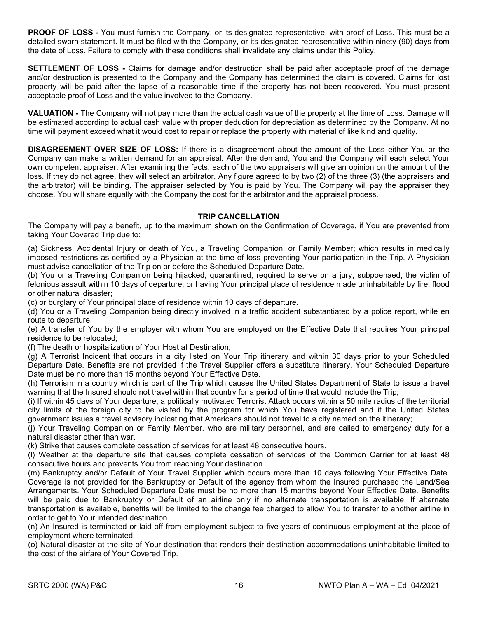**PROOF OF LOSS -** You must furnish the Company, or its designated representative, with proof of Loss. This must be a detailed sworn statement. It must be filed with the Company, or its designated representative within ninety (90) days from the date of Loss. Failure to comply with these conditions shall invalidate any claims under this Policy.

**SETTLEMENT OF LOSS -** Claims for damage and/or destruction shall be paid after acceptable proof of the damage and/or destruction is presented to the Company and the Company has determined the claim is covered. Claims for lost property will be paid after the lapse of a reasonable time if the property has not been recovered. You must present acceptable proof of Loss and the value involved to the Company.

**VALUATION -** The Company will not pay more than the actual cash value of the property at the time of Loss. Damage will be estimated according to actual cash value with proper deduction for depreciation as determined by the Company. At no time will payment exceed what it would cost to repair or replace the property with material of like kind and quality.

**DISAGREEMENT OVER SIZE OF LOSS:** If there is a disagreement about the amount of the Loss either You or the Company can make a written demand for an appraisal. After the demand, You and the Company will each select Your own competent appraiser. After examining the facts, each of the two appraisers will give an opinion on the amount of the loss. If they do not agree, they will select an arbitrator. Any figure agreed to by two (2) of the three (3) (the appraisers and the arbitrator) will be binding. The appraiser selected by You is paid by You. The Company will pay the appraiser they choose. You will share equally with the Company the cost for the arbitrator and the appraisal process.

#### **TRIP CANCELLATION**

The Company will pay a benefit, up to the maximum shown on the Confirmation of Coverage, if You are prevented from taking Your Covered Trip due to:

(a) Sickness, Accidental Injury or death of You, a Traveling Companion, or Family Member; which results in medically imposed restrictions as certified by a Physician at the time of loss preventing Your participation in the Trip. A Physician must advise cancellation of the Trip on or before the Scheduled Departure Date.

(b) You or a Traveling Companion being hijacked, quarantined, required to serve on a jury, subpoenaed, the victim of felonious assault within 10 days of departure; or having Your principal place of residence made uninhabitable by fire, flood or other natural disaster;

(c) or burglary of Your principal place of residence within 10 days of departure.

(d) You or a Traveling Companion being directly involved in a traffic accident substantiated by a police report, while en route to departure;

(e) A transfer of You by the employer with whom You are employed on the Effective Date that requires Your principal residence to be relocated;

(f) The death or hospitalization of Your Host at Destination;

(g) A Terrorist Incident that occurs in a city listed on Your Trip itinerary and within 30 days prior to your Scheduled Departure Date. Benefits are not provided if the Travel Supplier offers a substitute itinerary. Your Scheduled Departure Date must be no more than 15 months beyond Your Effective Date.

(h) Terrorism in a country which is part of the Trip which causes the United States Department of State to issue a travel warning that the Insured should not travel within that country for a period of time that would include the Trip;

(i) If within 45 days of Your departure, a politically motivated Terrorist Attack occurs within a 50 mile radius of the territorial city limits of the foreign city to be visited by the program for which You have registered and if the United States government issues a travel advisory indicating that Americans should not travel to a city named on the itinerary;

(j) Your Traveling Companion or Family Member, who are military personnel, and are called to emergency duty for a natural disaster other than war.

(k) Strike that causes complete cessation of services for at least 48 consecutive hours.

(l) Weather at the departure site that causes complete cessation of services of the Common Carrier for at least 48 consecutive hours and prevents You from reaching Your destination.

(m) Bankruptcy and/or Default of Your Travel Supplier which occurs more than 10 days following Your Effective Date. Coverage is not provided for the Bankruptcy or Default of the agency from whom the Insured purchased the Land/Sea Arrangements. Your Scheduled Departure Date must be no more than 15 months beyond Your Effective Date. Benefits will be paid due to Bankruptcy or Default of an airline only if no alternate transportation is available. If alternate transportation is available, benefits will be limited to the change fee charged to allow You to transfer to another airline in order to get to Your intended destination.

(n) An Insured is terminated or laid off from employment subject to five years of continuous employment at the place of employment where terminated.

(o) Natural disaster at the site of Your destination that renders their destination accommodations uninhabitable limited to the cost of the airfare of Your Covered Trip.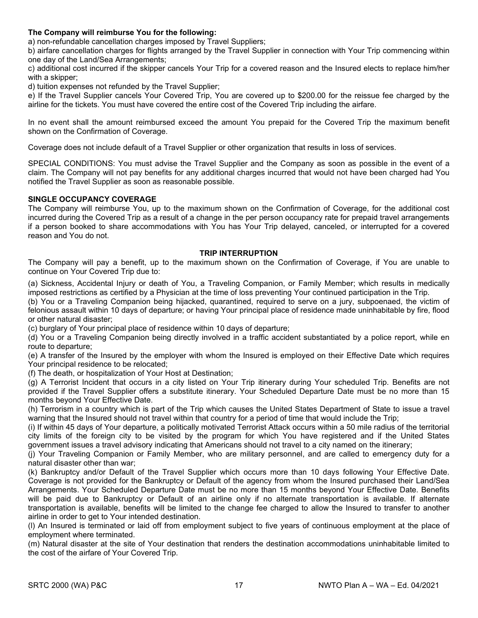#### **The Company will reimburse You for the following:**

a) non-refundable cancellation charges imposed by Travel Suppliers;

b) airfare cancellation charges for flights arranged by the Travel Supplier in connection with Your Trip commencing within one day of the Land/Sea Arrangements;

c) additional cost incurred if the skipper cancels Your Trip for a covered reason and the Insured elects to replace him/her with a skipper;

d) tuition expenses not refunded by the Travel Supplier;

e) If the Travel Supplier cancels Your Covered Trip, You are covered up to \$200.00 for the reissue fee charged by the airline for the tickets. You must have covered the entire cost of the Covered Trip including the airfare.

In no event shall the amount reimbursed exceed the amount You prepaid for the Covered Trip the maximum benefit shown on the Confirmation of Coverage.

Coverage does not include default of a Travel Supplier or other organization that results in loss of services.

SPECIAL CONDITIONS: You must advise the Travel Supplier and the Company as soon as possible in the event of a claim. The Company will not pay benefits for any additional charges incurred that would not have been charged had You notified the Travel Supplier as soon as reasonable possible.

#### **SINGLE OCCUPANCY COVERAGE**

The Company will reimburse You, up to the maximum shown on the Confirmation of Coverage, for the additional cost incurred during the Covered Trip as a result of a change in the per person occupancy rate for prepaid travel arrangements if a person booked to share accommodations with You has Your Trip delayed, canceled, or interrupted for a covered reason and You do not.

#### **TRIP INTERRUPTION**

The Company will pay a benefit, up to the maximum shown on the Confirmation of Coverage, if You are unable to continue on Your Covered Trip due to:

(a) Sickness, Accidental Injury or death of You, a Traveling Companion, or Family Member; which results in medically imposed restrictions as certified by a Physician at the time of loss preventing Your continued participation in the Trip.

(b) You or a Traveling Companion being hijacked, quarantined, required to serve on a jury, subpoenaed, the victim of felonious assault within 10 days of departure; or having Your principal place of residence made uninhabitable by fire, flood or other natural disaster;

(c) burglary of Your principal place of residence within 10 days of departure;

(d) You or a Traveling Companion being directly involved in a traffic accident substantiated by a police report, while en route to departure;

(e) A transfer of the Insured by the employer with whom the Insured is employed on their Effective Date which requires Your principal residence to be relocated;

(f) The death, or hospitalization of Your Host at Destination;

(g) A Terrorist Incident that occurs in a city listed on Your Trip itinerary during Your scheduled Trip. Benefits are not provided if the Travel Supplier offers a substitute itinerary. Your Scheduled Departure Date must be no more than 15 months beyond Your Effective Date.

(h) Terrorism in a country which is part of the Trip which causes the United States Department of State to issue a travel warning that the Insured should not travel within that country for a period of time that would include the Trip;

(i) If within 45 days of Your departure, a politically motivated Terrorist Attack occurs within a 50 mile radius of the territorial city limits of the foreign city to be visited by the program for which You have registered and if the United States government issues a travel advisory indicating that Americans should not travel to a city named on the itinerary;

(j) Your Traveling Companion or Family Member, who are military personnel, and are called to emergency duty for a natural disaster other than war;

(k) Bankruptcy and/or Default of the Travel Supplier which occurs more than 10 days following Your Effective Date. Coverage is not provided for the Bankruptcy or Default of the agency from whom the Insured purchased their Land/Sea Arrangements. Your Scheduled Departure Date must be no more than 15 months beyond Your Effective Date. Benefits will be paid due to Bankruptcy or Default of an airline only if no alternate transportation is available. If alternate transportation is available, benefits will be limited to the change fee charged to allow the Insured to transfer to another airline in order to get to Your intended destination.

(l) An Insured is terminated or laid off from employment subject to five years of continuous employment at the place of employment where terminated.

(m) Natural disaster at the site of Your destination that renders the destination accommodations uninhabitable limited to the cost of the airfare of Your Covered Trip.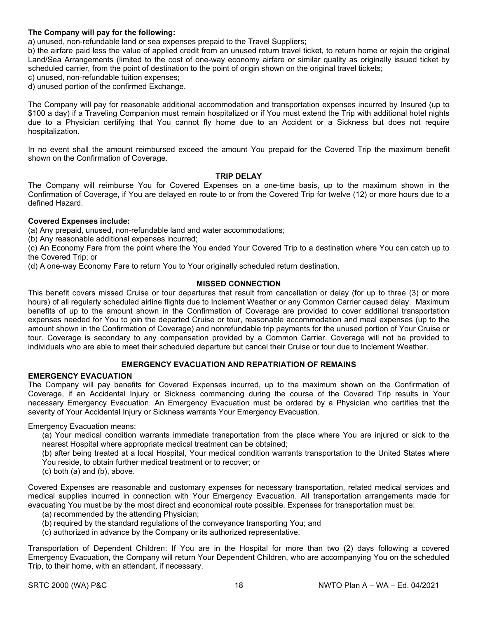#### **The Company will pay for the following:**

a) unused, non-refundable land or sea expenses prepaid to the Travel Suppliers;

b) the airfare paid less the value of applied credit from an unused return travel ticket, to return home or rejoin the original Land/Sea Arrangements (limited to the cost of one-way economy airfare or similar quality as originally issued ticket by scheduled carrier, from the point of destination to the point of origin shown on the original travel tickets;

c) unused, non-refundable tuition expenses;

d) unused portion of the confirmed Exchange.

The Company will pay for reasonable additional accommodation and transportation expenses incurred by Insured (up to \$100 a day) if a Traveling Companion must remain hospitalized or if You must extend the Trip with additional hotel nights due to a Physician certifying that You cannot fly home due to an Accident or a Sickness but does not require hospitalization.

In no event shall the amount reimbursed exceed the amount You prepaid for the Covered Trip the maximum benefit shown on the Confirmation of Coverage.

#### **TRIP DELAY**

The Company will reimburse You for Covered Expenses on a one-time basis, up to the maximum shown in the Confirmation of Coverage, if You are delayed en route to or from the Covered Trip for twelve (12) or more hours due to a defined Hazard.

#### **Covered Expenses include:**

(a) Any prepaid, unused, non-refundable land and water accommodations;

(b) Any reasonable additional expenses incurred;

(c) An Economy Fare from the point where the You ended Your Covered Trip to a destination where You can catch up to the Covered Trip; or

(d) A one-way Economy Fare to return You to Your originally scheduled return destination.

#### **MISSED CONNECTION**

This benefit covers missed Cruise or tour departures that result from cancellation or delay (for up to three (3) or more hours) of all regularly scheduled airline flights due to Inclement Weather or any Common Carrier caused delay. Maximum benefits of up to the amount shown in the Confirmation of Coverage are provided to cover additional transportation expenses needed for You to join the departed Cruise or tour, reasonable accommodation and meal expenses (up to the amount shown in the Confirmation of Coverage) and nonrefundable trip payments for the unused portion of Your Cruise or tour. Coverage is secondary to any compensation provided by a Common Carrier. Coverage will not be provided to individuals who are able to meet their scheduled departure but cancel their Cruise or tour due to Inclement Weather.

#### **EMERGENCY EVACUATION AND REPATRIATION OF REMAINS**

#### **EMERGENCY EVACUATION**

The Company will pay benefits for Covered Expenses incurred, up to the maximum shown on the Confirmation of Coverage, if an Accidental Injury or Sickness commencing during the course of the Covered Trip results in Your necessary Emergency Evacuation. An Emergency Evacuation must be ordered by a Physician who certifies that the severity of Your Accidental Injury or Sickness warrants Your Emergency Evacuation.

Emergency Evacuation means:

(a) Your medical condition warrants immediate transportation from the place where You are injured or sick to the nearest Hospital where appropriate medical treatment can be obtained;

(b) after being treated at a local Hospital, Your medical condition warrants transportation to the United States where You reside, to obtain further medical treatment or to recover; or

(c) both (a) and (b), above.

Covered Expenses are reasonable and customary expenses for necessary transportation, related medical services and medical supplies incurred in connection with Your Emergency Evacuation. All transportation arrangements made for evacuating You must be by the most direct and economical route possible. Expenses for transportation must be:

- (a) recommended by the attending Physician;
- (b) required by the standard regulations of the conveyance transporting You; and
- (c) authorized in advance by the Company or its authorized representative.

Transportation of Dependent Children: If You are in the Hospital for more than two (2) days following a covered Emergency Evacuation, the Company will return Your Dependent Children, who are accompanying You on the scheduled Trip, to their home, with an attendant, if necessary.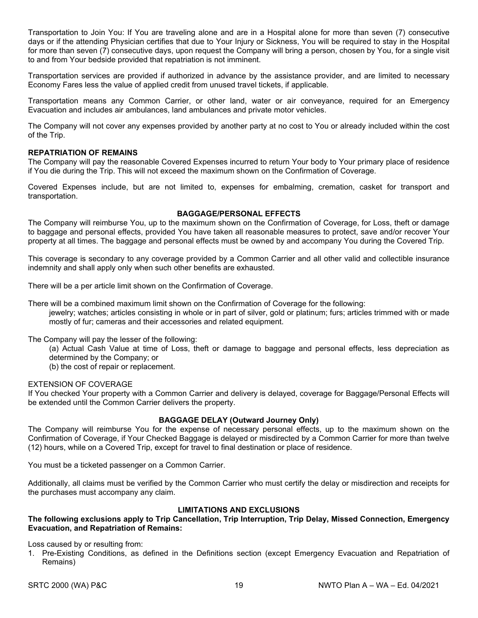Transportation to Join You: If You are traveling alone and are in a Hospital alone for more than seven (7) consecutive days or if the attending Physician certifies that due to Your Injury or Sickness, You will be required to stay in the Hospital for more than seven (7) consecutive days, upon request the Company will bring a person, chosen by You, for a single visit to and from Your bedside provided that repatriation is not imminent.

Transportation services are provided if authorized in advance by the assistance provider, and are limited to necessary Economy Fares less the value of applied credit from unused travel tickets, if applicable.

Transportation means any Common Carrier, or other land, water or air conveyance, required for an Emergency Evacuation and includes air ambulances, land ambulances and private motor vehicles.

The Company will not cover any expenses provided by another party at no cost to You or already included within the cost of the Trip.

#### **REPATRIATION OF REMAINS**

The Company will pay the reasonable Covered Expenses incurred to return Your body to Your primary place of residence if You die during the Trip. This will not exceed the maximum shown on the Confirmation of Coverage.

Covered Expenses include, but are not limited to, expenses for embalming, cremation, casket for transport and transportation.

#### **BAGGAGE/PERSONAL EFFECTS**

The Company will reimburse You, up to the maximum shown on the Confirmation of Coverage, for Loss, theft or damage to baggage and personal effects, provided You have taken all reasonable measures to protect, save and/or recover Your property at all times. The baggage and personal effects must be owned by and accompany You during the Covered Trip.

This coverage is secondary to any coverage provided by a Common Carrier and all other valid and collectible insurance indemnity and shall apply only when such other benefits are exhausted.

There will be a per article limit shown on the Confirmation of Coverage.

There will be a combined maximum limit shown on the Confirmation of Coverage for the following:

jewelry; watches; articles consisting in whole or in part of silver, gold or platinum; furs; articles trimmed with or made mostly of fur; cameras and their accessories and related equipment.

#### The Company will pay the lesser of the following:

(a) Actual Cash Value at time of Loss, theft or damage to baggage and personal effects, less depreciation as determined by the Company; or

(b) the cost of repair or replacement.

#### EXTENSION OF COVERAGE

If You checked Your property with a Common Carrier and delivery is delayed, coverage for Baggage/Personal Effects will be extended until the Common Carrier delivers the property.

#### **BAGGAGE DELAY (Outward Journey Only)**

The Company will reimburse You for the expense of necessary personal effects, up to the maximum shown on the Confirmation of Coverage, if Your Checked Baggage is delayed or misdirected by a Common Carrier for more than twelve (12) hours, while on a Covered Trip, except for travel to final destination or place of residence.

You must be a ticketed passenger on a Common Carrier.

Additionally, all claims must be verified by the Common Carrier who must certify the delay or misdirection and receipts for the purchases must accompany any claim.

#### **LIMITATIONS AND EXCLUSIONS**

#### **The following exclusions apply to Trip Cancellation, Trip Interruption, Trip Delay, Missed Connection, Emergency Evacuation, and Repatriation of Remains:**

Loss caused by or resulting from:

1. Pre-Existing Conditions, as defined in the Definitions section (except Emergency Evacuation and Repatriation of Remains)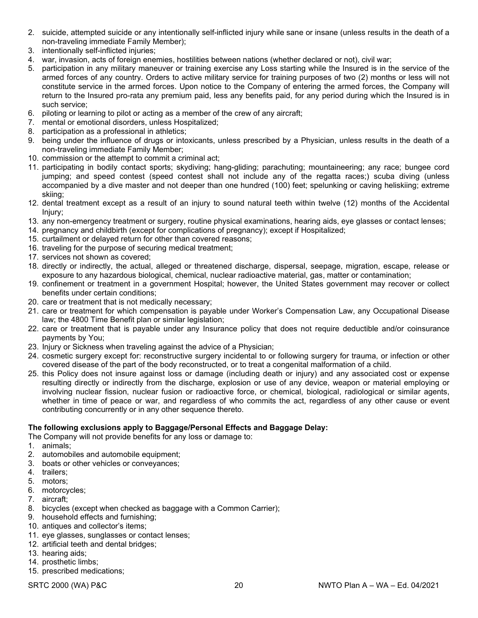- 2. suicide, attempted suicide or any intentionally self-inflicted injury while sane or insane (unless results in the death of a non-traveling immediate Family Member);
- 3. intentionally self-inflicted injuries;
- 4. war, invasion, acts of foreign enemies, hostilities between nations (whether declared or not), civil war;
- 5. participation in any military maneuver or training exercise any Loss starting while the Insured is in the service of the armed forces of any country. Orders to active military service for training purposes of two (2) months or less will not constitute service in the armed forces. Upon notice to the Company of entering the armed forces, the Company will return to the Insured pro-rata any premium paid, less any benefits paid, for any period during which the Insured is in such service;
- 6. piloting or learning to pilot or acting as a member of the crew of any aircraft;
- 7. mental or emotional disorders, unless Hospitalized;
- 8. participation as a professional in athletics;
- 9. being under the influence of drugs or intoxicants, unless prescribed by a Physician, unless results in the death of a non-traveling immediate Family Member;
- 10. commission or the attempt to commit a criminal act;
- 11. participating in bodily contact sports; skydiving; hang-gliding; parachuting; mountaineering; any race; bungee cord jumping; and speed contest (speed contest shall not include any of the regatta races;) scuba diving (unless accompanied by a dive master and not deeper than one hundred (100) feet; spelunking or caving heliskiing; extreme skiing;
- 12. dental treatment except as a result of an injury to sound natural teeth within twelve (12) months of the Accidental Injury;
- 13. any non-emergency treatment or surgery, routine physical examinations, hearing aids, eye glasses or contact lenses;
- 14. pregnancy and childbirth (except for complications of pregnancy); except if Hospitalized;
- 15. curtailment or delayed return for other than covered reasons;
- 16. traveling for the purpose of securing medical treatment;
- 17. services not shown as covered;
- 18. directly or indirectly, the actual, alleged or threatened discharge, dispersal, seepage, migration, escape, release or exposure to any hazardous biological, chemical, nuclear radioactive material, gas, matter or contamination;
- 19. confinement or treatment in a government Hospital; however, the United States government may recover or collect benefits under certain conditions;
- 20. care or treatment that is not medically necessary;
- 21. care or treatment for which compensation is payable under Worker's Compensation Law, any Occupational Disease law; the 4800 Time Benefit plan or similar legislation;
- 22. care or treatment that is payable under any Insurance policy that does not require deductible and/or coinsurance payments by You;
- 23. Injury or Sickness when traveling against the advice of a Physician;
- 24. cosmetic surgery except for: reconstructive surgery incidental to or following surgery for trauma, or infection or other covered disease of the part of the body reconstructed, or to treat a congenital malformation of a child.
- 25. this Policy does not insure against loss or damage (including death or injury) and any associated cost or expense resulting directly or indirectly from the discharge, explosion or use of any device, weapon or material employing or involving nuclear fission, nuclear fusion or radioactive force, or chemical, biological, radiological or similar agents, whether in time of peace or war, and regardless of who commits the act, regardless of any other cause or event contributing concurrently or in any other sequence thereto.

#### **The following exclusions apply to Baggage/Personal Effects and Baggage Delay:**

- The Company will not provide benefits for any loss or damage to:
- 1. animals;
- 2. automobiles and automobile equipment;
- 3. boats or other vehicles or conveyances;
- 4. trailers;
- 5. motors;
- 6. motorcycles;
- 7. aircraft;
- 8. bicycles (except when checked as baggage with a Common Carrier);
- 9. household effects and furnishing;
- 10. antiques and collector's items;
- 11. eye glasses, sunglasses or contact lenses;
- 12. artificial teeth and dental bridges;
- 13. hearing aids;
- 14. prosthetic limbs;
- 15. prescribed medications;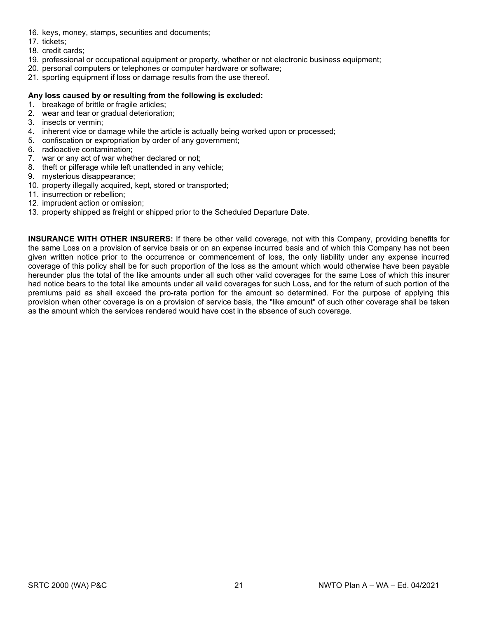- 16. keys, money, stamps, securities and documents;
- 17. tickets;
- 18. credit cards;
- 19. professional or occupational equipment or property, whether or not electronic business equipment;
- 20. personal computers or telephones or computer hardware or software;
- 21. sporting equipment if loss or damage results from the use thereof.

#### **Any loss caused by or resulting from the following is excluded:**

- 1. breakage of brittle or fragile articles;
- 2. wear and tear or gradual deterioration;
- 3. insects or vermin;
- 4. inherent vice or damage while the article is actually being worked upon or processed;
- 5. confiscation or expropriation by order of any government;
- 6. radioactive contamination;
- 7. war or any act of war whether declared or not;
- 8. theft or pilferage while left unattended in any vehicle;
- 9. mysterious disappearance;
- 10. property illegally acquired, kept, stored or transported;
- 11. insurrection or rebellion;
- 12. imprudent action or omission;
- 13. property shipped as freight or shipped prior to the Scheduled Departure Date.

**INSURANCE WITH OTHER INSURERS:** If there be other valid coverage, not with this Company, providing benefits for the same Loss on a provision of service basis or on an expense incurred basis and of which this Company has not been given written notice prior to the occurrence or commencement of loss, the only liability under any expense incurred coverage of this policy shall be for such proportion of the loss as the amount which would otherwise have been payable hereunder plus the total of the like amounts under all such other valid coverages for the same Loss of which this insurer had notice bears to the total like amounts under all valid coverages for such Loss, and for the return of such portion of the premiums paid as shall exceed the pro-rata portion for the amount so determined. For the purpose of applying this provision when other coverage is on a provision of service basis, the "like amount" of such other coverage shall be taken as the amount which the services rendered would have cost in the absence of such coverage.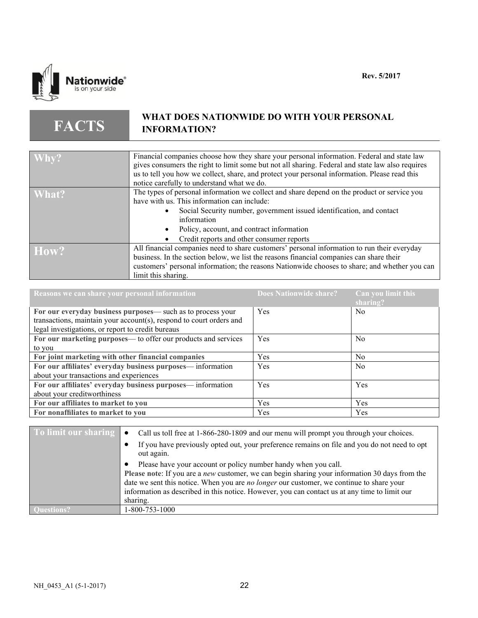

#### **FACTS WHAT DOES NATIONWIDE DO WITH YOUR PERSONAL INFORMATION?**

| Why?  | Financial companies choose how they share your personal information. Federal and state law<br>gives consumers the right to limit some but not all sharing. Federal and state law also requires<br>us to tell you how we collect, share, and protect your personal information. Please read this<br>notice carefully to understand what we do. |
|-------|-----------------------------------------------------------------------------------------------------------------------------------------------------------------------------------------------------------------------------------------------------------------------------------------------------------------------------------------------|
| What? | The types of personal information we collect and share depend on the product or service you<br>have with us. This information can include:<br>Social Security number, government issued identification, and contact<br>information<br>Policy, account, and contract information                                                               |
|       | Credit reports and other consumer reports                                                                                                                                                                                                                                                                                                     |
| How?  | All financial companies need to share customers' personal information to run their everyday                                                                                                                                                                                                                                                   |
|       | business. In the section below, we list the reasons financial companies can share their                                                                                                                                                                                                                                                       |
|       | customers' personal information; the reasons Nationwide chooses to share; and whether you can                                                                                                                                                                                                                                                 |
|       | limit this sharing.                                                                                                                                                                                                                                                                                                                           |

| Reasons we can share your personal information                      | <b>Does Nationwide share?</b> | Can you limit this<br>sharing? |
|---------------------------------------------------------------------|-------------------------------|--------------------------------|
| For our everyday business purposes- such as to process your         | Yes                           | N <sub>0</sub>                 |
| transactions, maintain your account(s), respond to court orders and |                               |                                |
| legal investigations, or report to credit bureaus                   |                               |                                |
| For our marketing purposes— to offer our products and services      | Yes                           | N <sub>0</sub>                 |
| to you                                                              |                               |                                |
| For joint marketing with other financial companies                  | <b>Yes</b>                    | N <sub>0</sub>                 |
| For our affiliates' everyday business purposes—information          | Yes                           | N <sub>o</sub>                 |
| about your transactions and experiences                             |                               |                                |
| For our affiliates' everyday business purposes—information          | Yes                           | Yes                            |
| about your creditworthiness                                         |                               |                                |
| For our affiliates to market to you                                 | <b>Yes</b>                    | <b>Yes</b>                     |
| For nonaffiliates to market to you                                  | Yes                           | Yes                            |

| To limit our sharing | Call us toll free at 1-866-280-1809 and our menu will prompt you through your choices.<br>$\bullet$<br>If you have previously opted out, your preference remains on file and you do not need to opt<br>out again.                                                                                                                                                                |  |
|----------------------|----------------------------------------------------------------------------------------------------------------------------------------------------------------------------------------------------------------------------------------------------------------------------------------------------------------------------------------------------------------------------------|--|
|                      | Please have your account or policy number handy when you call.<br>Please note: If you are a <i>new</i> customer, we can begin sharing your information 30 days from the<br>date we sent this notice. When you are no longer our customer, we continue to share your<br>information as described in this notice. However, you can contact us at any time to limit our<br>sharing. |  |
|                      | 1-800-753-1000                                                                                                                                                                                                                                                                                                                                                                   |  |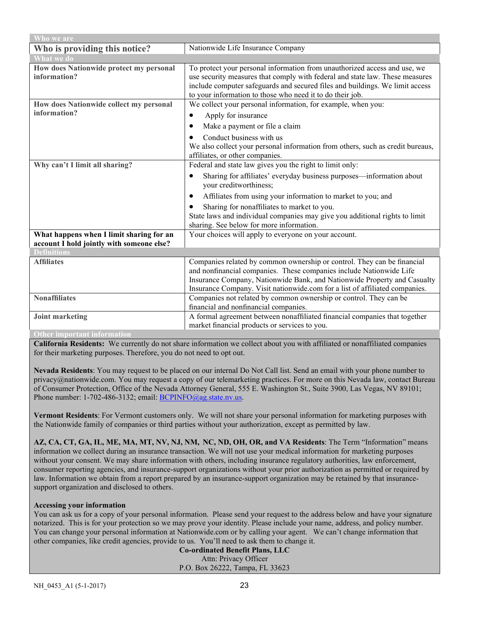| Who we are                                                                            |                                                                                                                                                                                                                                                                                                                                                                                                                        |  |
|---------------------------------------------------------------------------------------|------------------------------------------------------------------------------------------------------------------------------------------------------------------------------------------------------------------------------------------------------------------------------------------------------------------------------------------------------------------------------------------------------------------------|--|
| Who is providing this notice?                                                         | Nationwide Life Insurance Company                                                                                                                                                                                                                                                                                                                                                                                      |  |
| <b>What we do</b>                                                                     |                                                                                                                                                                                                                                                                                                                                                                                                                        |  |
| How does Nationwide protect my personal<br>information?                               | To protect your personal information from unauthorized access and use, we<br>use security measures that comply with federal and state law. These measures<br>include computer safeguards and secured files and buildings. We limit access<br>to your information to those who need it to do their job.                                                                                                                 |  |
| How does Nationwide collect my personal<br>information?                               | We collect your personal information, for example, when you:<br>Apply for insurance<br>$\bullet$<br>Make a payment or file a claim<br>Conduct business with us                                                                                                                                                                                                                                                         |  |
|                                                                                       | We also collect your personal information from others, such as credit bureaus,<br>affiliates, or other companies.                                                                                                                                                                                                                                                                                                      |  |
| Why can't I limit all sharing?                                                        | Federal and state law gives you the right to limit only:<br>Sharing for affiliates' everyday business purposes—information about<br>$\bullet$<br>your creditworthiness;<br>Affiliates from using your information to market to you; and<br>Sharing for nonaffiliates to market to you.<br>٠<br>State laws and individual companies may give you additional rights to limit<br>sharing. See below for more information. |  |
| What happens when I limit sharing for an<br>account I hold jointly with someone else? | Your choices will apply to everyone on your account.                                                                                                                                                                                                                                                                                                                                                                   |  |
| Definitions                                                                           |                                                                                                                                                                                                                                                                                                                                                                                                                        |  |
| <b>Affiliates</b>                                                                     | Companies related by common ownership or control. They can be financial<br>and nonfinancial companies. These companies include Nationwide Life<br>Insurance Company, Nationwide Bank, and Nationwide Property and Casualty<br>Insurance Company. Visit nationwide.com for a list of affiliated companies.                                                                                                              |  |
| <b>Nonaffiliates</b>                                                                  | Companies not related by common ownership or control. They can be<br>financial and nonfinancial companies.                                                                                                                                                                                                                                                                                                             |  |
| Joint marketing<br><b>Other important information</b>                                 | A formal agreement between nonaffiliated financial companies that together<br>market financial products or services to you.                                                                                                                                                                                                                                                                                            |  |

**California Residents:** We currently do not share information we collect about you with affiliated or nonaffiliated companies for their marketing purposes. Therefore, you do not need to opt out.

**Nevada Residents**: You may request to be placed on our internal Do Not Call list. Send an email with your phone number to privacy@nationwide.com. You may request a copy of our telemarketing practices. For more on this Nevada law, contact Bureau of Consumer Protection, Office of the Nevada Attorney General, 555 E. Washington St., Suite 3900, Las Vegas, NV 89101; Phone number: 1-702-486-3132; email: [BCPINFO@ag.state.nv.us.](mailto:BCPINFO@ag.state.nv.us)

**Vermont Residents**: For Vermont customers only. We will not share your personal information for marketing purposes with the Nationwide family of companies or third parties without your authorization, except as permitted by law.

**AZ, CA, CT, GA, IL, ME, MA, MT, NV, NJ, NM, NC, ND, OH, OR, and VA Residents**: The Term "Information" means information we collect during an insurance transaction. We will not use your medical information for marketing purposes without your consent. We may share information with others, including insurance regulatory authorities, law enforcement, consumer reporting agencies, and insurance-support organizations without your prior authorization as permitted or required by law. Information we obtain from a report prepared by an insurance-support organization may be retained by that insurancesupport organization and disclosed to others.

#### **Accessing your information**

You can ask us for a copy of your personal information. Please send your request to the address below and have your signature notarized. This is for your protection so we may prove your identity. Please include your name, address, and policy number. You can change your personal information at Nationwide.com or by calling your agent. We can't change information that other companies, like credit agencies, provide to us. You'll need to ask them to change it.

**Co-ordinated Benefit Plans, LLC** Attn: Privacy Officer P.O. Box 26222, Tampa, FL 33623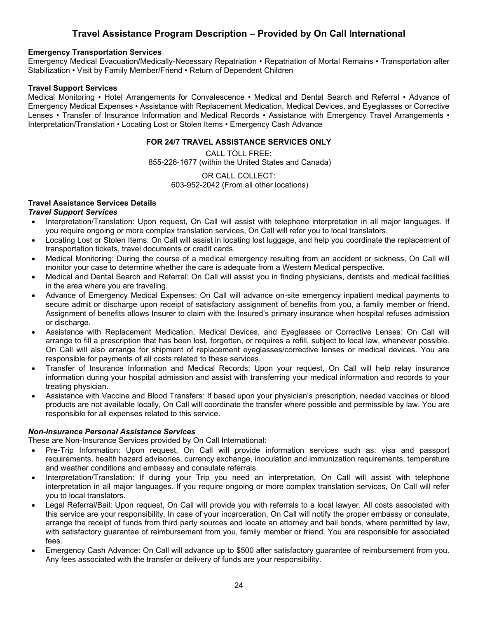### **Travel Assistance Program Description – Provided by On Call International**

#### **Emergency Transportation Services**

Emergency Medical Evacuation/Medically-Necessary Repatriation • Repatriation of Mortal Remains • Transportation after Stabilization • Visit by Family Member/Friend • Return of Dependent Children

#### **Travel Support Services**

Medical Monitoring • Hotel Arrangements for Convalescence • Medical and Dental Search and Referral • Advance of Emergency Medical Expenses • Assistance with Replacement Medication, Medical Devices, and Eyeglasses or Corrective Lenses • Transfer of Insurance Information and Medical Records • Assistance with Emergency Travel Arrangements • Interpretation/Translation • Locating Lost or Stolen Items • Emergency Cash Advance

#### **FOR 24/7 TRAVEL ASSISTANCE SERVICES ONLY**

CALL TOLL FREE: 855-226-1677 (within the United States and Canada)

> OR CALL COLLECT: 603-952-2042 (From all other locations)

#### **Travel Assistance Services Details**

#### *Travel Support Services*

- Interpretation/Translation: Upon request, On Call will assist with telephone interpretation in all major languages. If you require ongoing or more complex translation services, On Call will refer you to local translators.
- Locating Lost or Stolen Items: On Call will assist in locating lost luggage, and help you coordinate the replacement of transportation tickets, travel documents or credit cards.
- Medical Monitoring: During the course of a medical emergency resulting from an accident or sickness, On Call will monitor your case to determine whether the care is adequate from a Western Medical perspective.
- Medical and Dental Search and Referral: On Call will assist you in finding physicians, dentists and medical facilities in the area where you are traveling.
- Advance of Emergency Medical Expenses: On Call will advance on-site emergency inpatient medical payments to secure admit or discharge upon receipt of satisfactory assignment of benefits from you, a family member or friend. Assignment of benefits allows Insurer to claim with the Insured's primary insurance when hospital refuses admission or discharge.
- Assistance with Replacement Medication, Medical Devices, and Eyeglasses or Corrective Lenses: On Call will arrange to fill a prescription that has been lost, forgotten, or requires a refill, subject to local law, whenever possible. On Call will also arrange for shipment of replacement eyeglasses/corrective lenses or medical devices. You are responsible for payments of all costs related to these services.
- Transfer of Insurance Information and Medical Records: Upon your request, On Call will help relay insurance information during your hospital admission and assist with transferring your medical information and records to your treating physician.
- Assistance with Vaccine and Blood Transfers: If based upon your physician's prescription, needed vaccines or blood products are not available locally, On Call will coordinate the transfer where possible and permissible by law. You are responsible for all expenses related to this service.

#### *Non-Insurance Personal Assistance Services*

These are Non-Insurance Services provided by On Call International:

- Pre-Trip Information: Upon request, On Call will provide information services such as: visa and passport requirements, health hazard advisories, currency exchange, inoculation and immunization requirements, temperature and weather conditions and embassy and consulate referrals.
- Interpretation/Translation: If during your Trip you need an interpretation, On Call will assist with telephone interpretation in all major languages. If you require ongoing or more complex translation services, On Call will refer you to local translators.
- Legal Referral/Bail: Upon request, On Call will provide you with referrals to a local lawyer. All costs associated with this service are your responsibility. In case of your incarceration, On Call will notify the proper embassy or consulate, arrange the receipt of funds from third party sources and locate an attorney and bail bonds, where permitted by law, with satisfactory guarantee of reimbursement from you, family member or friend. You are responsible for associated fees.
- Emergency Cash Advance: On Call will advance up to \$500 after satisfactory guarantee of reimbursement from you. Any fees associated with the transfer or delivery of funds are your responsibility.